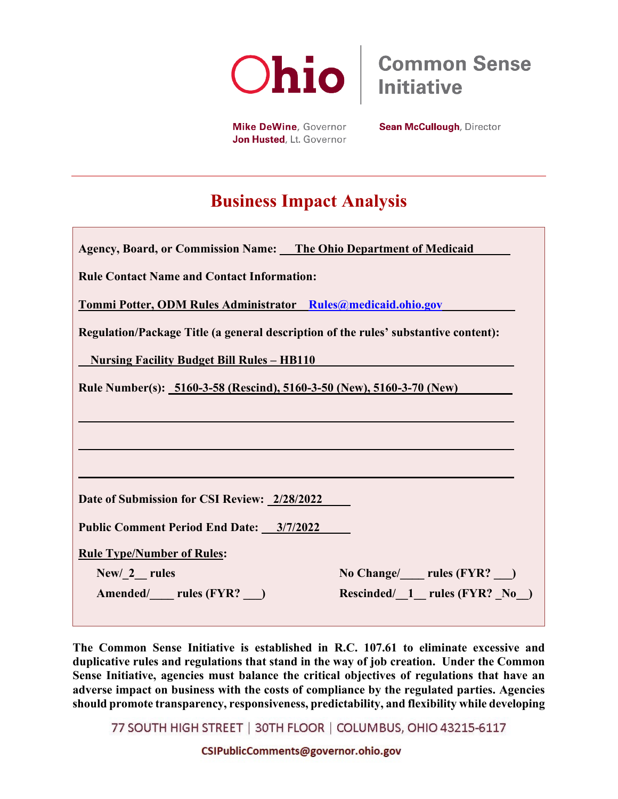

**Common Sense Initiative** 

Mike DeWine, Governor Jon Husted, Lt. Governor **Sean McCullough, Director** 

# **Business Impact Analysis**

| Agency, Board, or Commission Name: The Ohio Department of Medicaid                  |  |  |
|-------------------------------------------------------------------------------------|--|--|
| <b>Rule Contact Name and Contact Information:</b>                                   |  |  |
| Tommi Potter, ODM Rules Administrator Rules@medicaid.ohio.gov                       |  |  |
| Regulation/Package Title (a general description of the rules' substantive content): |  |  |
| <u><b>Nursing Facility Budget Bill Rules - HB110</b></u>                            |  |  |
| Rule Number(s): 5160-3-58 (Rescind), 5160-3-50 (New), 5160-3-70 (New)               |  |  |
|                                                                                     |  |  |
|                                                                                     |  |  |
|                                                                                     |  |  |
| Date of Submission for CSI Review: 2/28/2022                                        |  |  |
| Public Comment Period End Date: 3/7/2022                                            |  |  |
| <b>Rule Type/Number of Rules:</b>                                                   |  |  |
| No Change/ ____ rules (FYR? __)<br>New/ 2 rules                                     |  |  |
| Rescinded/ 1 rules (FYR? No )<br>Amended/ rules (FYR?)                              |  |  |

**The Common Sense Initiative is established in R.C. 107.61 to eliminate excessive and duplicative rules and regulations that stand in the way of job creation. Under the Common Sense Initiative, agencies must balance the critical objectives of regulations that have an adverse impact on business with the costs of compliance by the regulated parties. Agencies should promote transparency, responsiveness, predictability, and flexibility while developing** 

77 SOUTH HIGH STREET | 30TH FLOOR | COLUMBUS, OHIO 43215-6117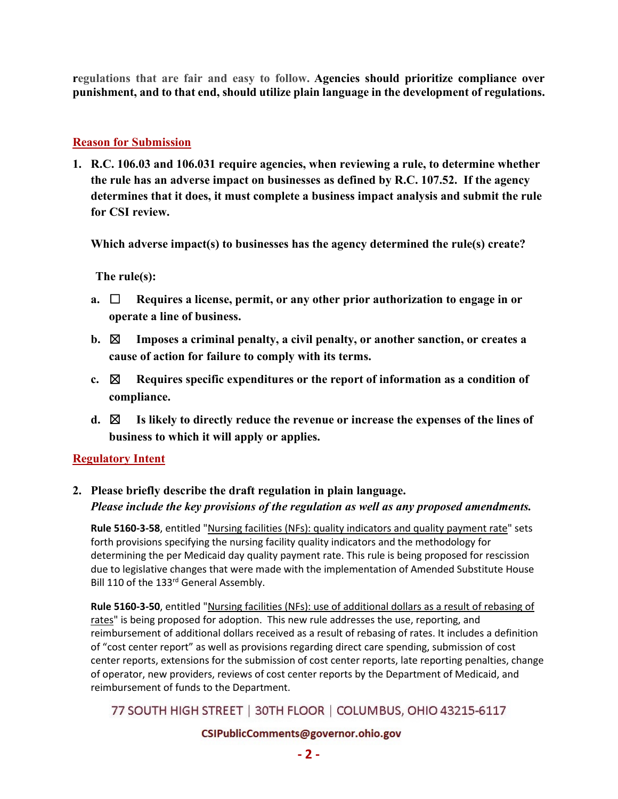**regulations that are fair and easy to follow. Agencies should prioritize compliance over punishment, and to that end, should utilize plain language in the development of regulations.** 

## **Reason for Submission**

**1. R.C. 106.03 and 106.031 require agencies, when reviewing a rule, to determine whether the rule has an adverse impact on businesses as defined by R.C. 107.52. If the agency determines that it does, it must complete a business impact analysis and submit the rule for CSI review.** 

**Which adverse impact(s) to businesses has the agency determined the rule(s) create?** 

**The rule(s):**

- **a.** ☐ **Requires a license, permit, or any other prior authorization to engage in or operate a line of business.**
- **b.** ☒ **Imposes a criminal penalty, a civil penalty, or another sanction, or creates a cause of action for failure to comply with its terms.**
- **c.** ☒ **Requires specific expenditures or the report of information as a condition of compliance.**
- **d.** ☒ **Is likely to directly reduce the revenue or increase the expenses of the lines of business to which it will apply or applies.**

### **Regulatory Intent**

# **2. Please briefly describe the draft regulation in plain language.**  *Please include the key provisions of the regulation as well as any proposed amendments.*

**Rule 5160-3-58**, entitled "Nursing facilities (NFs): quality indicators and quality payment rate" sets forth provisions specifying the nursing facility quality indicators and the methodology for determining the per Medicaid day quality payment rate. This rule is being proposed for rescission due to legislative changes that were made with the implementation of Amended Substitute House Bill 110 of the 133<sup>rd</sup> General Assembly.

**Rule 5160-3-50**, entitled "Nursing facilities (NFs): use of additional dollars as a result of rebasing of rates" is being proposed for adoption. This new rule addresses the use, reporting, and reimbursement of additional dollars received as a result of rebasing of rates. It includes a definition of "cost center report" as well as provisions regarding direct care spending, submission of cost center reports, extensions for the submission of cost center reports, late reporting penalties, change of operator, new providers, reviews of cost center reports by the Department of Medicaid, and reimbursement of funds to the Department.

# 77 SOUTH HIGH STREET | 30TH FLOOR | COLUMBUS, OHIO 43215-6117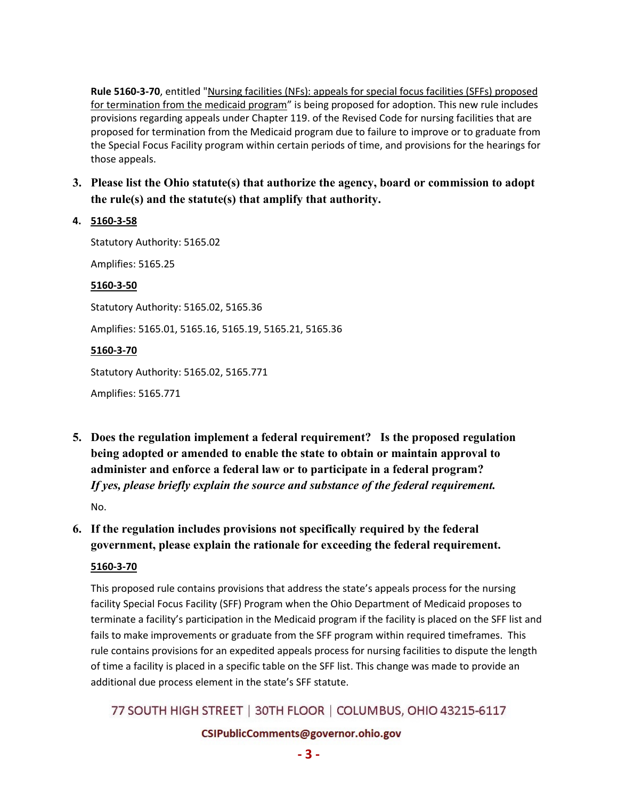**Rule 5160-3-70**, entitled "Nursing facilities (NFs): appeals for special focus facilities (SFFs) proposed for termination from the medicaid program" is being proposed for adoption. This new rule includes provisions regarding appeals under Chapter 119. of the Revised Code for nursing facilities that are proposed for termination from the Medicaid program due to failure to improve or to graduate from the Special Focus Facility program within certain periods of time, and provisions for the hearings for those appeals.

## **3. Please list the Ohio statute(s) that authorize the agency, board or commission to adopt the rule(s) and the statute(s) that amplify that authority.**

### **4. 5160-3-58**

Statutory Authority: 5165.02 Amplifies: 5165.25 **5160-3-50** Statutory Authority: 5165.02, 5165.36 Amplifies: 5165.01, 5165.16, 5165.19, 5165.21, 5165.36 **5160-3-70** Statutory Authority: 5165.02, 5165.771 Amplifies: 5165.771

**5. Does the regulation implement a federal requirement? Is the proposed regulation being adopted or amended to enable the state to obtain or maintain approval to administer and enforce a federal law or to participate in a federal program?** *If yes, please briefly explain the source and substance of the federal requirement.* No.

**6. If the regulation includes provisions not specifically required by the federal government, please explain the rationale for exceeding the federal requirement.**

### **5160-3-70**

This proposed rule contains provisions that address the state's appeals process for the nursing facility Special Focus Facility (SFF) Program when the Ohio Department of Medicaid proposes to terminate a facility's participation in the Medicaid program if the facility is placed on the SFF list and fails to make improvements or graduate from the SFF program within required timeframes. This rule contains provisions for an expedited appeals process for nursing facilities to dispute the length of time a facility is placed in a specific table on the SFF list. This change was made to provide an additional due process element in the state's SFF statute.

# 77 SOUTH HIGH STREET | 30TH FLOOR | COLUMBUS, OHIO 43215-6117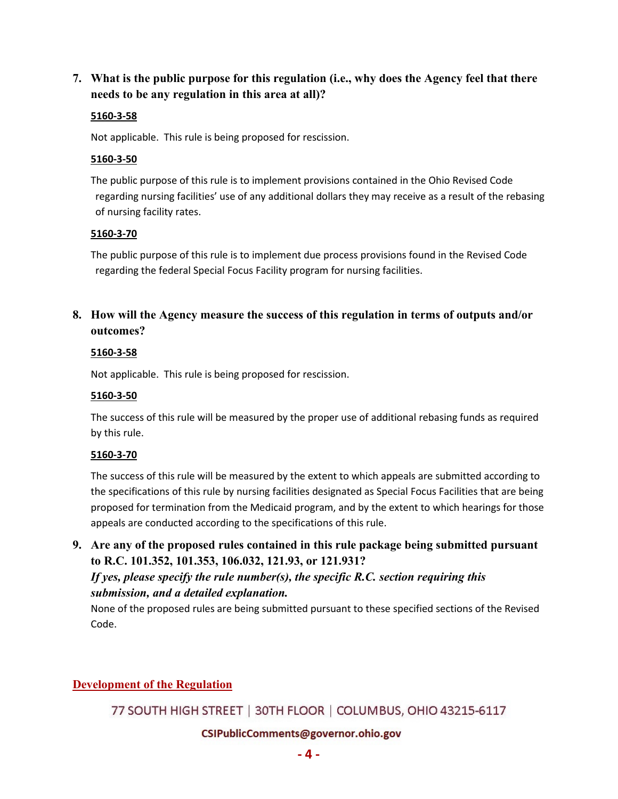**7. What is the public purpose for this regulation (i.e., why does the Agency feel that there needs to be any regulation in this area at all)?**

### **5160-3-58**

Not applicable. This rule is being proposed for rescission.

#### **5160-3-50**

The public purpose of this rule is to implement provisions contained in the Ohio Revised Code regarding nursing facilities' use of any additional dollars they may receive as a result of the rebasing of nursing facility rates.

#### **5160-3-70**

The public purpose of this rule is to implement due process provisions found in the Revised Code regarding the federal Special Focus Facility program for nursing facilities.

**8. How will the Agency measure the success of this regulation in terms of outputs and/or outcomes?**

#### **5160-3-58**

Not applicable. This rule is being proposed for rescission.

#### **5160-3-50**

The success of this rule will be measured by the proper use of additional rebasing funds as required by this rule.

### **5160-3-70**

The success of this rule will be measured by the extent to which appeals are submitted according to the specifications of this rule by nursing facilities designated as Special Focus Facilities that are being proposed for termination from the Medicaid program, and by the extent to which hearings for those appeals are conducted according to the specifications of this rule.

**9. Are any of the proposed rules contained in this rule package being submitted pursuant to R.C. 101.352, 101.353, 106.032, 121.93, or 121.931?** 

*If yes, please specify the rule number(s), the specific R.C. section requiring this submission, and a detailed explanation.*

None of the proposed rules are being submitted pursuant to these specified sections of the Revised Code.

# **Development of the Regulation**

77 SOUTH HIGH STREET | 30TH FLOOR | COLUMBUS, OHIO 43215-6117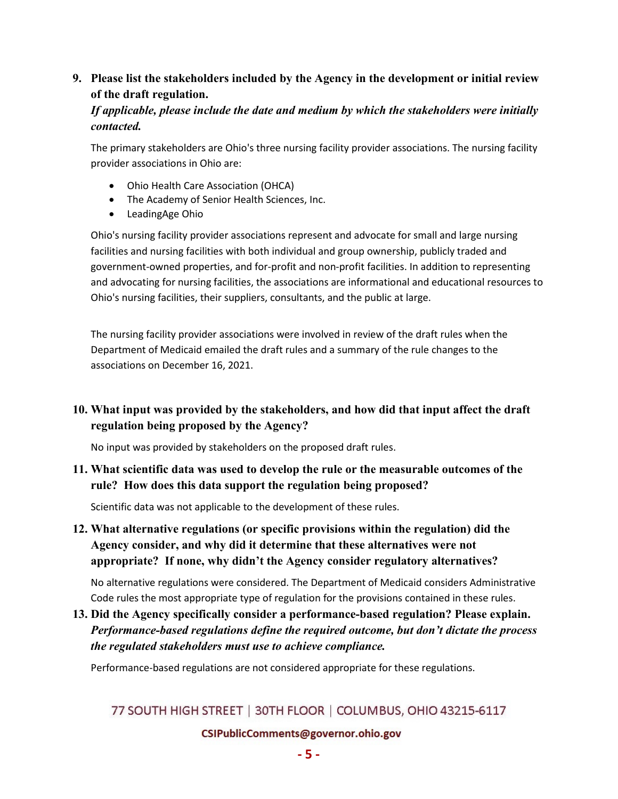# **9. Please list the stakeholders included by the Agency in the development or initial review of the draft regulation.**

## *If applicable, please include the date and medium by which the stakeholders were initially contacted.*

The primary stakeholders are Ohio's three nursing facility provider associations. The nursing facility provider associations in Ohio are:

- Ohio Health Care Association (OHCA)
- The Academy of Senior Health Sciences, Inc.
- LeadingAge Ohio

Ohio's nursing facility provider associations represent and advocate for small and large nursing facilities and nursing facilities with both individual and group ownership, publicly traded and government-owned properties, and for-profit and non-profit facilities. In addition to representing and advocating for nursing facilities, the associations are informational and educational resources to Ohio's nursing facilities, their suppliers, consultants, and the public at large.

The nursing facility provider associations were involved in review of the draft rules when the Department of Medicaid emailed the draft rules and a summary of the rule changes to the associations on December 16, 2021.

# **10. What input was provided by the stakeholders, and how did that input affect the draft regulation being proposed by the Agency?**

No input was provided by stakeholders on the proposed draft rules.

## **11. What scientific data was used to develop the rule or the measurable outcomes of the rule? How does this data support the regulation being proposed?**

Scientific data was not applicable to the development of these rules.

**12. What alternative regulations (or specific provisions within the regulation) did the Agency consider, and why did it determine that these alternatives were not appropriate? If none, why didn't the Agency consider regulatory alternatives?**

No alternative regulations were considered. The Department of Medicaid considers Administrative Code rules the most appropriate type of regulation for the provisions contained in these rules.

**13. Did the Agency specifically consider a performance-based regulation? Please explain.** *Performance-based regulations define the required outcome, but don't dictate the process the regulated stakeholders must use to achieve compliance.*

Performance-based regulations are not considered appropriate for these regulations.

# 77 SOUTH HIGH STREET | 30TH FLOOR | COLUMBUS, OHIO 43215-6117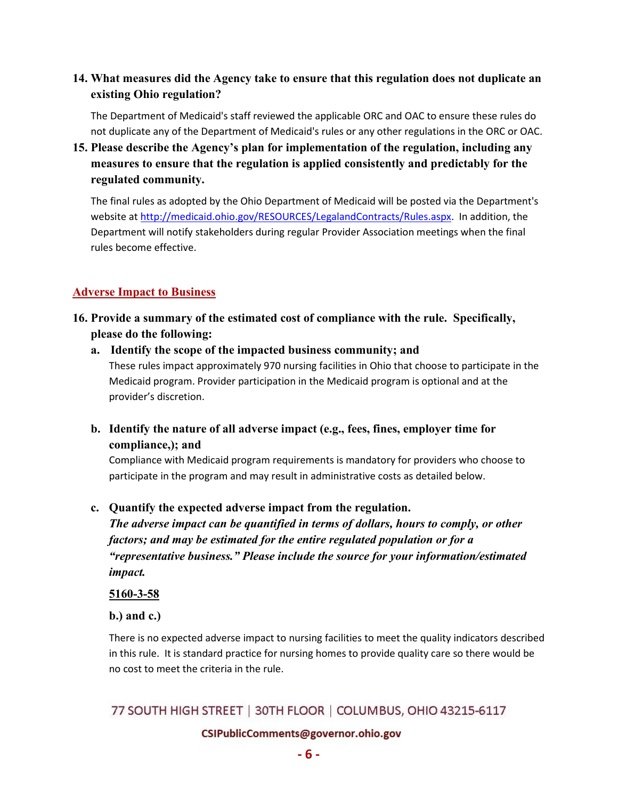# **14. What measures did the Agency take to ensure that this regulation does not duplicate an existing Ohio regulation?**

The Department of Medicaid's staff reviewed the applicable ORC and OAC to ensure these rules do not duplicate any of the Department of Medicaid's rules or any other regulations in the ORC or OAC.

**15. Please describe the Agency's plan for implementation of the regulation, including any measures to ensure that the regulation is applied consistently and predictably for the regulated community.**

The final rules as adopted by the Ohio Department of Medicaid will be posted via the Department's website at [http://medicaid.ohio.gov/RESOURCES/LegalandContracts/Rules.aspx.](http://medicaid.ohio.gov/RESOURCES/LegalandContracts/Rules.aspx) In addition, the Department will notify stakeholders during regular Provider Association meetings when the final rules become effective.

## **Adverse Impact to Business**

- **16. Provide a summary of the estimated cost of compliance with the rule. Specifically, please do the following:**
	- **a. Identify the scope of the impacted business community; and** These rules impact approximately 970 nursing facilities in Ohio that choose to participate in the Medicaid program. Provider participation in the Medicaid program is optional and at the provider's discretion.
	- **b. Identify the nature of all adverse impact (e.g., fees, fines, employer time for compliance,); and**

Compliance with Medicaid program requirements is mandatory for providers who choose to participate in the program and may result in administrative costs as detailed below.

**c. Quantify the expected adverse impact from the regulation.** 

 *The adverse impact can be quantified in terms of dollars, hours to comply, or other factors; and may be estimated for the entire regulated population or for a "representative business." Please include the source for your information/estimated impact.*

**5160-3-58**

**b.) and c.)**

There is no expected adverse impact to nursing facilities to meet the quality indicators described in this rule. It is standard practice for nursing homes to provide quality care so there would be no cost to meet the criteria in the rule.

# 77 SOUTH HIGH STREET | 30TH FLOOR | COLUMBUS, OHIO 43215-6117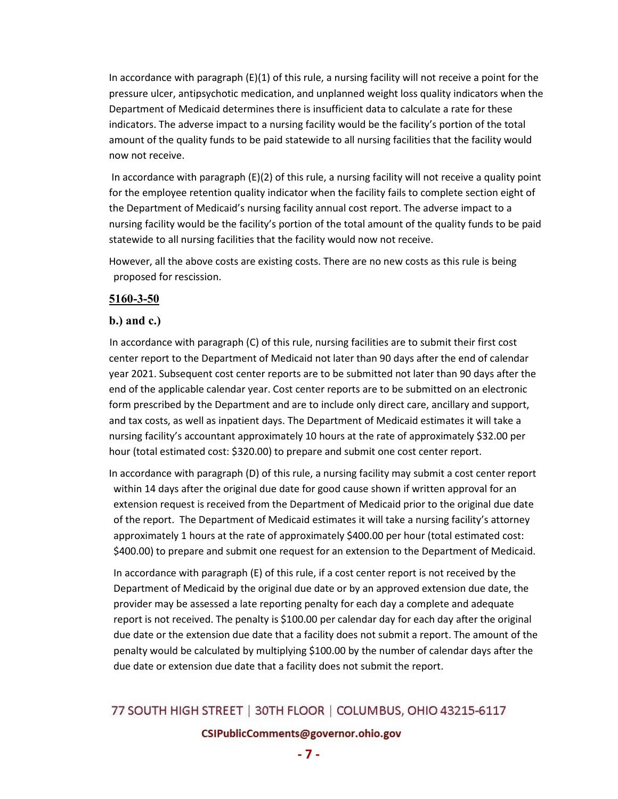In accordance with paragraph (E)(1) of this rule, a nursing facility will not receive a point for the pressure ulcer, antipsychotic medication, and unplanned weight loss quality indicators when the Department of Medicaid determines there is insufficient data to calculate a rate for these indicators. The adverse impact to a nursing facility would be the facility's portion of the total amount of the quality funds to be paid statewide to all nursing facilities that the facility would now not receive.

In accordance with paragraph  $(E)(2)$  of this rule, a nursing facility will not receive a quality point for the employee retention quality indicator when the facility fails to complete section eight of the Department of Medicaid's nursing facility annual cost report. The adverse impact to a nursing facility would be the facility's portion of the total amount of the quality funds to be paid statewide to all nursing facilities that the facility would now not receive.

However, all the above costs are existing costs. There are no new costs as this rule is being proposed for rescission.

## **5160-3-50**

## **b.) and c.)**

 In accordance with paragraph (C) of this rule, nursing facilities are to submit their first cost center report to the Department of Medicaid not later than 90 days after the end of calendar year 2021. Subsequent cost center reports are to be submitted not later than 90 days after the end of the applicable calendar year. Cost center reports are to be submitted on an electronic form prescribed by the Department and are to include only direct care, ancillary and support, and tax costs, as well as inpatient days. The Department of Medicaid estimates it will take a nursing facility's accountant approximately 10 hours at the rate of approximately \$32.00 per hour (total estimated cost: \$320.00) to prepare and submit one cost center report.

In accordance with paragraph (D) of this rule, a nursing facility may submit a cost center report within 14 days after the original due date for good cause shown if written approval for an extension request is received from the Department of Medicaid prior to the original due date of the report. The Department of Medicaid estimates it will take a nursing facility's attorney approximately 1 hours at the rate of approximately \$400.00 per hour (total estimated cost: \$400.00) to prepare and submit one request for an extension to the Department of Medicaid.

In accordance with paragraph (E) of this rule, if a cost center report is not received by the Department of Medicaid by the original due date or by an approved extension due date, the provider may be assessed a late reporting penalty for each day a complete and adequate report is not received. The penalty is \$100.00 per calendar day for each day after the original due date or the extension due date that a facility does not submit a report. The amount of the penalty would be calculated by multiplying \$100.00 by the number of calendar days after the due date or extension due date that a facility does not submit the report.

# 77 SOUTH HIGH STREET | 30TH FLOOR | COLUMBUS, OHIO 43215-6117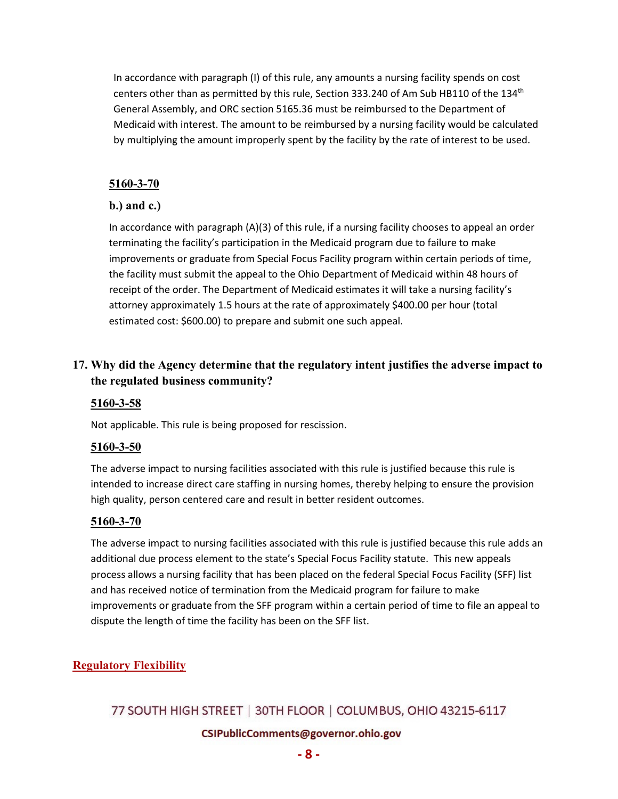In accordance with paragraph (I) of this rule, any amounts a nursing facility spends on cost centers other than as permitted by this rule, Section 333.240 of Am Sub HB110 of the 134<sup>th</sup> General Assembly, and ORC section 5165.36 must be reimbursed to the Department of Medicaid with interest. The amount to be reimbursed by a nursing facility would be calculated by multiplying the amount improperly spent by the facility by the rate of interest to be used.

### **5160-3-70**

## **b.) and c.)**

In accordance with paragraph (A)(3) of this rule, if a nursing facility chooses to appeal an order terminating the facility's participation in the Medicaid program due to failure to make improvements or graduate from Special Focus Facility program within certain periods of time, the facility must submit the appeal to the Ohio Department of Medicaid within 48 hours of receipt of the order. The Department of Medicaid estimates it will take a nursing facility's attorney approximately 1.5 hours at the rate of approximately \$400.00 per hour (total estimated cost: \$600.00) to prepare and submit one such appeal.

# **17. Why did the Agency determine that the regulatory intent justifies the adverse impact to the regulated business community?**

## **5160-3-58**

Not applicable. This rule is being proposed for rescission.

## **5160-3-50**

The adverse impact to nursing facilities associated with this rule is justified because this rule is intended to increase direct care staffing in nursing homes, thereby helping to ensure the provision high quality, person centered care and result in better resident outcomes.

## **5160-3-70**

The adverse impact to nursing facilities associated with this rule is justified because this rule adds an additional due process element to the state's Special Focus Facility statute. This new appeals process allows a nursing facility that has been placed on the federal Special Focus Facility (SFF) list and has received notice of termination from the Medicaid program for failure to make improvements or graduate from the SFF program within a certain period of time to file an appeal to dispute the length of time the facility has been on the SFF list.

## **Regulatory Flexibility**

# 77 SOUTH HIGH STREET | 30TH FLOOR | COLUMBUS, OHIO 43215-6117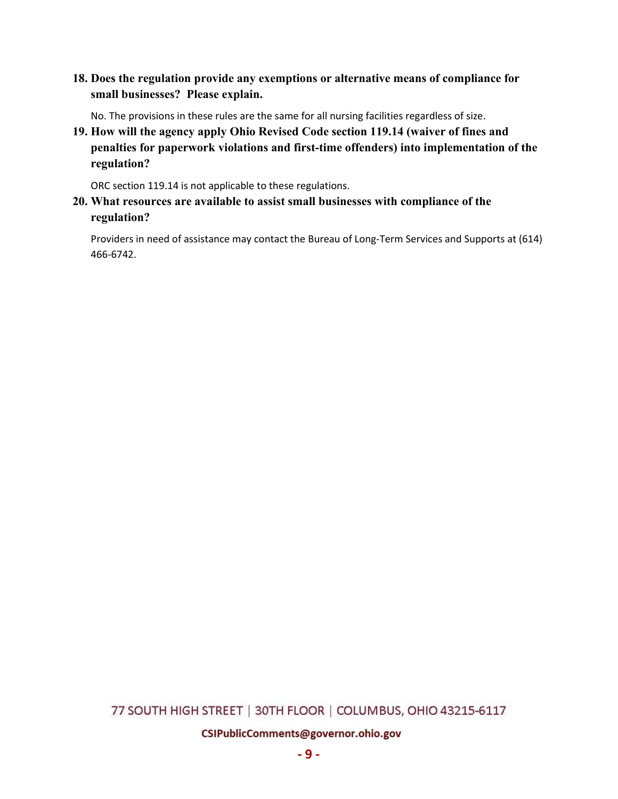**18. Does the regulation provide any exemptions or alternative means of compliance for small businesses? Please explain.**

No. The provisions in these rules are the same for all nursing facilities regardless of size.

**19. How will the agency apply Ohio Revised Code section 119.14 (waiver of fines and penalties for paperwork violations and first-time offenders) into implementation of the regulation?**

ORC section 119.14 is not applicable to these regulations.

**20. What resources are available to assist small businesses with compliance of the regulation?**

Providers in need of assistance may contact the Bureau of Long-Term Services and Supports at (614) 466-6742.

## 77 SOUTH HIGH STREET | 30TH FLOOR | COLUMBUS, OHIO 43215-6117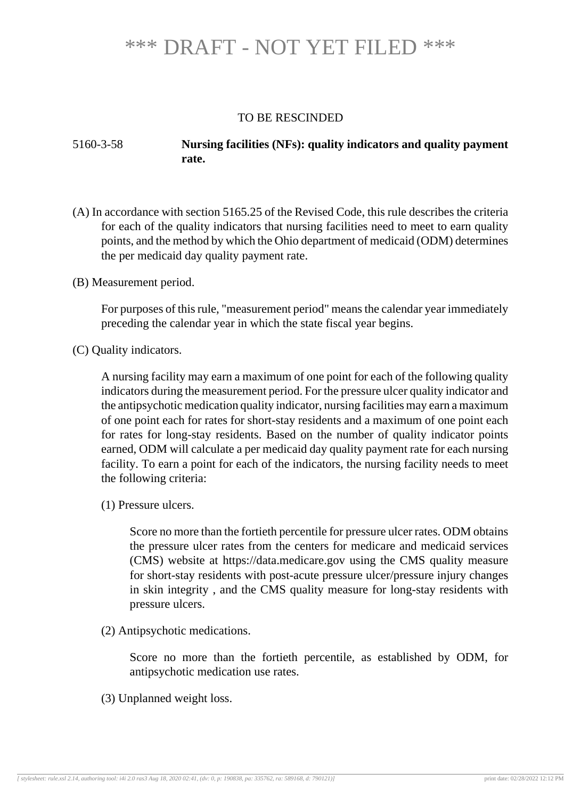### TO BE RESCINDED

## 5160-3-58 **Nursing facilities (NFs): quality indicators and quality payment rate.**

- (A) In accordance with section 5165.25 of the Revised Code, this rule describes the criteria for each of the quality indicators that nursing facilities need to meet to earn quality points, and the method by which the Ohio department of medicaid (ODM) determines the per medicaid day quality payment rate.
- (B) Measurement period.

For purposes of this rule, "measurement period" means the calendar year immediately preceding the calendar year in which the state fiscal year begins.

(C) Quality indicators.

A nursing facility may earn a maximum of one point for each of the following quality indicators during the measurement period. For the pressure ulcer quality indicator and the antipsychotic medication quality indicator, nursing facilities may earn a maximum of one point each for rates for short-stay residents and a maximum of one point each for rates for long-stay residents. Based on the number of quality indicator points earned, ODM will calculate a per medicaid day quality payment rate for each nursing facility. To earn a point for each of the indicators, the nursing facility needs to meet the following criteria:

(1) Pressure ulcers.

Score no more than the fortieth percentile for pressure ulcer rates. ODM obtains the pressure ulcer rates from the centers for medicare and medicaid services (CMS) website at https://data.medicare.gov using the CMS quality measure for short-stay residents with post-acute pressure ulcer/pressure injury changes in skin integrity , and the CMS quality measure for long-stay residents with pressure ulcers.

(2) Antipsychotic medications.

Score no more than the fortieth percentile, as established by ODM, for antipsychotic medication use rates.

(3) Unplanned weight loss.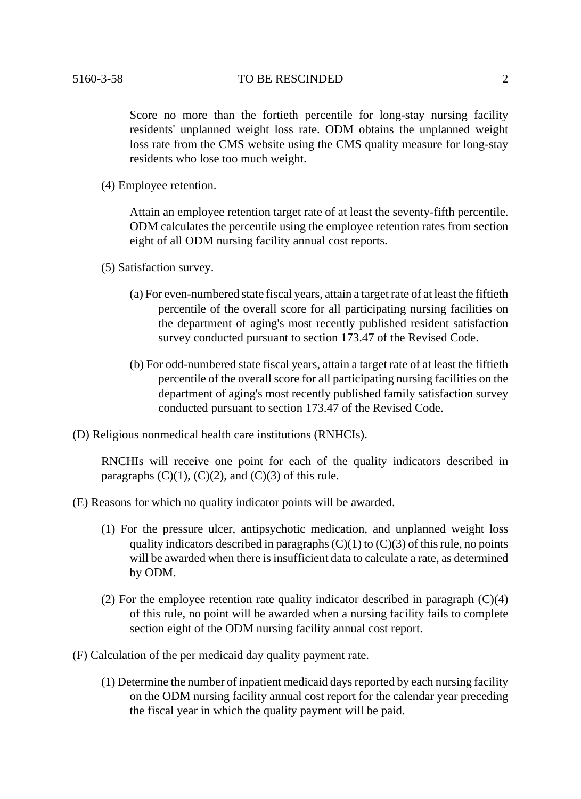#### 5160-3-58 TO BE RESCINDED 2

Score no more than the fortieth percentile for long-stay nursing facility residents' unplanned weight loss rate. ODM obtains the unplanned weight loss rate from the CMS website using the CMS quality measure for long-stay residents who lose too much weight.

(4) Employee retention.

Attain an employee retention target rate of at least the seventy-fifth percentile. ODM calculates the percentile using the employee retention rates from section eight of all ODM nursing facility annual cost reports.

- (5) Satisfaction survey.
	- (a) For even-numbered state fiscal years, attain a target rate of at least the fiftieth percentile of the overall score for all participating nursing facilities on the department of aging's most recently published resident satisfaction survey conducted pursuant to section 173.47 of the Revised Code.
	- (b) For odd-numbered state fiscal years, attain a target rate of at least the fiftieth percentile of the overall score for all participating nursing facilities on the department of aging's most recently published family satisfaction survey conducted pursuant to section 173.47 of the Revised Code.
- (D) Religious nonmedical health care institutions (RNHCIs).

RNCHIs will receive one point for each of the quality indicators described in paragraphs  $(C)(1)$ ,  $(C)(2)$ , and  $(C)(3)$  of this rule.

- (E) Reasons for which no quality indicator points will be awarded.
	- (1) For the pressure ulcer, antipsychotic medication, and unplanned weight loss quality indicators described in paragraphs  $(C)(1)$  to  $(C)(3)$  of this rule, no points will be awarded when there is insufficient data to calculate a rate, as determined by ODM.
	- (2) For the employee retention rate quality indicator described in paragraph (C)(4) of this rule, no point will be awarded when a nursing facility fails to complete section eight of the ODM nursing facility annual cost report.
- (F) Calculation of the per medicaid day quality payment rate.
	- (1) Determine the number of inpatient medicaid days reported by each nursing facility on the ODM nursing facility annual cost report for the calendar year preceding the fiscal year in which the quality payment will be paid.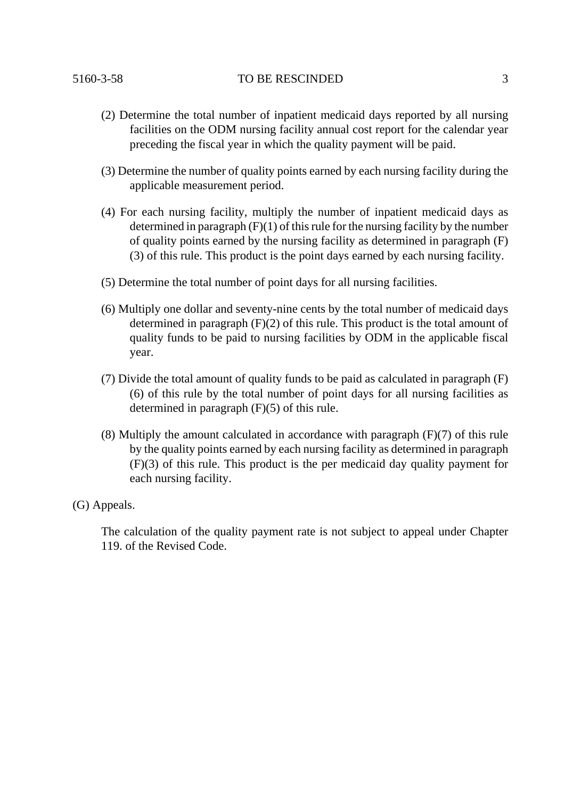#### 5160-3-58 TO BE RESCINDED 3

- (2) Determine the total number of inpatient medicaid days reported by all nursing facilities on the ODM nursing facility annual cost report for the calendar year preceding the fiscal year in which the quality payment will be paid.
- (3) Determine the number of quality points earned by each nursing facility during the applicable measurement period.
- (4) For each nursing facility, multiply the number of inpatient medicaid days as determined in paragraph (F)(1) of this rule for the nursing facility by the number of quality points earned by the nursing facility as determined in paragraph (F) (3) of this rule. This product is the point days earned by each nursing facility.
- (5) Determine the total number of point days for all nursing facilities.
- (6) Multiply one dollar and seventy-nine cents by the total number of medicaid days determined in paragraph (F)(2) of this rule. This product is the total amount of quality funds to be paid to nursing facilities by ODM in the applicable fiscal year.
- (7) Divide the total amount of quality funds to be paid as calculated in paragraph (F) (6) of this rule by the total number of point days for all nursing facilities as determined in paragraph (F)(5) of this rule.
- $(8)$  Multiply the amount calculated in accordance with paragraph  $(F)(7)$  of this rule by the quality points earned by each nursing facility as determined in paragraph (F)(3) of this rule. This product is the per medicaid day quality payment for each nursing facility.
- (G) Appeals.

The calculation of the quality payment rate is not subject to appeal under Chapter 119. of the Revised Code.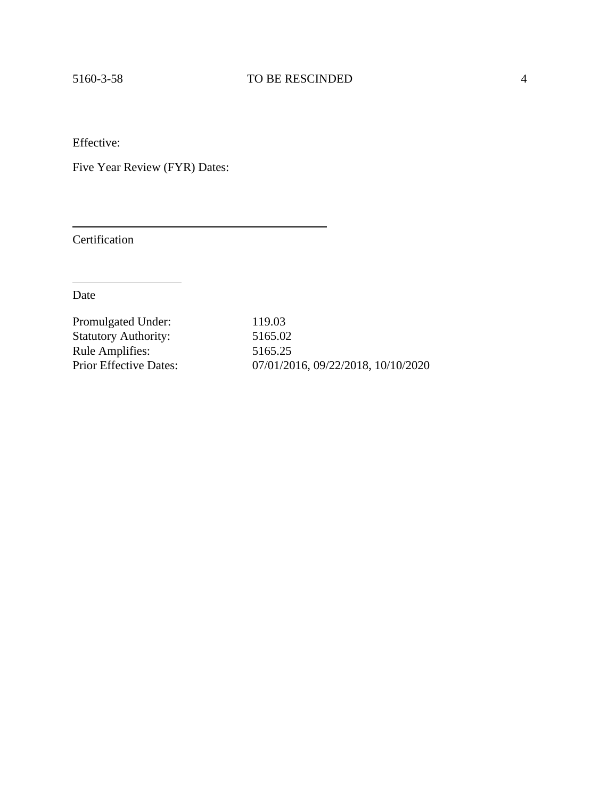Effective:

Five Year Review (FYR) Dates:

Certification

Date

| Promulgated Under:            | 119.03                             |
|-------------------------------|------------------------------------|
| <b>Statutory Authority:</b>   | 5165.02                            |
| <b>Rule Amplifies:</b>        | 5165.25                            |
| <b>Prior Effective Dates:</b> | 07/01/2016, 09/22/2018, 10/10/2020 |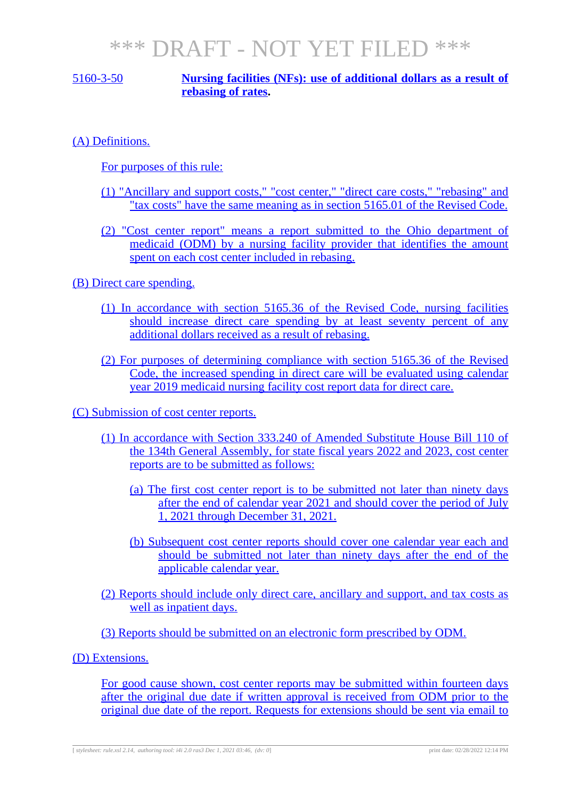## 5160-3-50 **Nursing facilities (NFs): use of additional dollars as a result of rebasing of rates.**

(A) Definitions.

For purposes of this rule:

- (1) "Ancillary and support costs," "cost center," "direct care costs," "rebasing" and "tax costs" have the same meaning as in section 5165.01 of the Revised Code.
- (2) "Cost center report" means a report submitted to the Ohio department of medicaid (ODM) by a nursing facility provider that identifies the amount spent on each cost center included in rebasing.

(B) Direct care spending.

- (1) In accordance with section 5165.36 of the Revised Code, nursing facilities should increase direct care spending by at least seventy percent of any additional dollars received as a result of rebasing.
- (2) For purposes of determining compliance with section 5165.36 of the Revised Code, the increased spending in direct care will be evaluated using calendar year 2019 medicaid nursing facility cost report data for direct care.

(C) Submission of cost center reports.

- (1) In accordance with Section 333.240 of Amended Substitute House Bill 110 of the 134th General Assembly, for state fiscal years 2022 and 2023, cost center reports are to be submitted as follows:
	- (a) The first cost center report is to be submitted not later than ninety days after the end of calendar year 2021 and should cover the period of July 1, 2021 through December 31, 2021.
	- (b) Subsequent cost center reports should cover one calendar year each and should be submitted not later than ninety days after the end of the applicable calendar year.

(2) Reports should include only direct care, ancillary and support, and tax costs as well as inpatient days.

(3) Reports should be submitted on an electronic form prescribed by ODM.

(D) Extensions.

For good cause shown, cost center reports may be submitted within fourteen days after the original due date if written approval is received from ODM prior to the original due date of the report. Requests for extensions should be sent via email to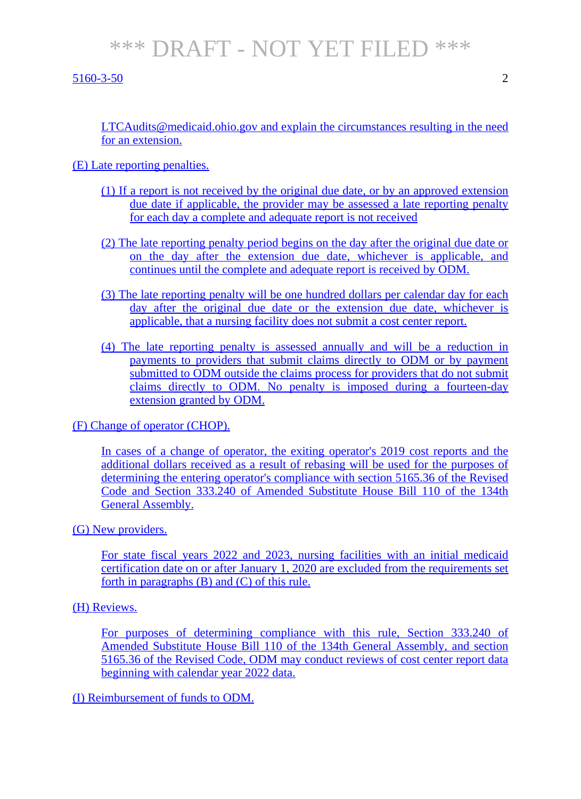#### 5160-3-50 2

LTCAudits@medicaid.ohio.gov and explain the circumstances resulting in the need for an extension.

### (E) Late reporting penalties.

- (1) If a report is not received by the original due date, or by an approved extension due date if applicable, the provider may be assessed a late reporting penalty for each day a complete and adequate report is not received
- (2) The late reporting penalty period begins on the day after the original due date or on the day after the extension due date, whichever is applicable, and continues until the complete and adequate report is received by ODM.
- (3) The late reporting penalty will be one hundred dollars per calendar day for each day after the original due date or the extension due date, whichever is applicable, that a nursing facility does not submit a cost center report.
- (4) The late reporting penalty is assessed annually and will be a reduction in payments to providers that submit claims directly to ODM or by payment submitted to ODM outside the claims process for providers that do not submit claims directly to ODM. No penalty is imposed during a fourteen-day extension granted by ODM.

(F) Change of operator (CHOP).

In cases of a change of operator, the exiting operator's 2019 cost reports and the additional dollars received as a result of rebasing will be used for the purposes of determining the entering operator's compliance with section 5165.36 of the Revised Code and Section 333.240 of Amended Substitute House Bill 110 of the 134th General Assembly.

#### (G) New providers.

For state fiscal years 2022 and 2023, nursing facilities with an initial medicaid certification date on or after January 1, 2020 are excluded from the requirements set forth in paragraphs (B) and (C) of this rule.

### (H) Reviews.

For purposes of determining compliance with this rule, Section 333.240 of Amended Substitute House Bill 110 of the 134th General Assembly, and section 5165.36 of the Revised Code, ODM may conduct reviews of cost center report data beginning with calendar year 2022 data.

(I) Reimbursement of funds to ODM.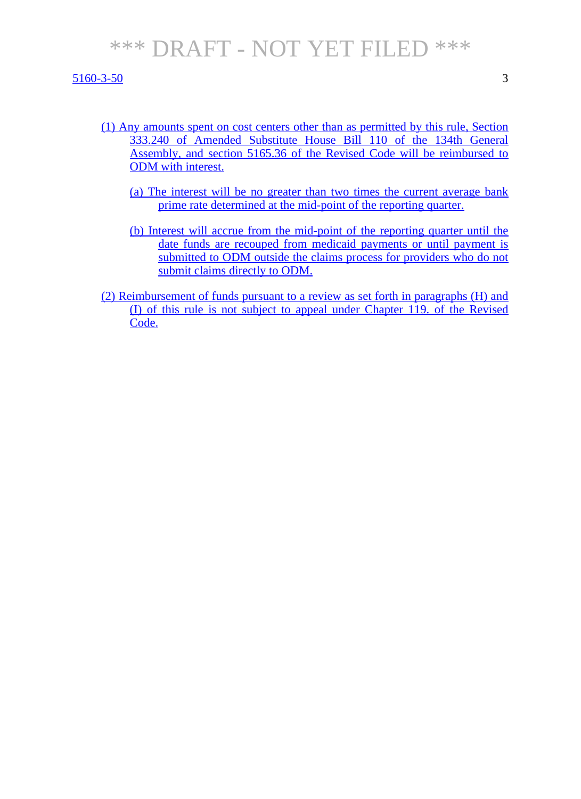#### 5160-3-50 3

- (1) Any amounts spent on cost centers other than as permitted by this rule, Section 333.240 of Amended Substitute House Bill 110 of the 134th General Assembly, and section 5165.36 of the Revised Code will be reimbursed to ODM with interest.
	- (a) The interest will be no greater than two times the current average bank prime rate determined at the mid-point of the reporting quarter.
	- (b) Interest will accrue from the mid-point of the reporting quarter until the date funds are recouped from medicaid payments or until payment is submitted to ODM outside the claims process for providers who do not submit claims directly to ODM.
- (2) Reimbursement of funds pursuant to a review as set forth in paragraphs (H) and (I) of this rule is not subject to appeal under Chapter 119. of the Revised Code.